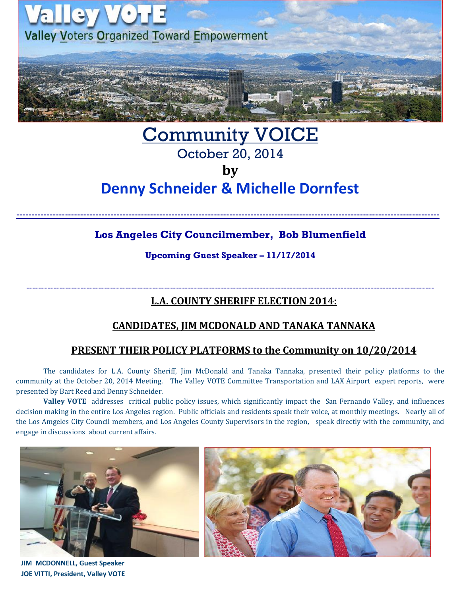

# Community VOICE October 20, 2014 **by**

# **Denny Schneider & Michelle Dornfest**

**-------------------------------------------------------------------------------------------------------------------------------------------**

## **Los Angeles City Councilmember, Bob Blumenfield**

**Upcoming Guest Speaker – 11/17/2014**

----------------------------------------------------------------------------------------------------------------------------------------

**L.A. COUNTY SHERIFF ELECTION 2014:**

## **CANDIDATES, JIM MCDONALD AND TANAKA TANNAKA**

## **PRESENT THEIR POLICY PLATFORMS to the Community on 10/20/2014**

The candidates for L.A. County Sheriff, Jim McDonald and Tanaka Tannaka, presented their policy platforms to the community at the October 20, 2014 Meeting. The Valley VOTE Committee Transportation and LAX Airport expert reports, were presented by Bart Reed and Denny Schneider.

**Valley VOTE** addresses critical public policy issues, which significantly impact the San Fernando Valley, and influences decision making in the entire Los Angeles region. Public officials and residents speak their voice, at monthly meetings. Nearly all of the Los Amgeles City Council members, and Los Angeles County Supervisors in the region, speak directly with the community, and engage in discussions about current affairs.



 **JIM MCDONNELL, Guest Speaker JOE VITTI, President, Valley VOTE**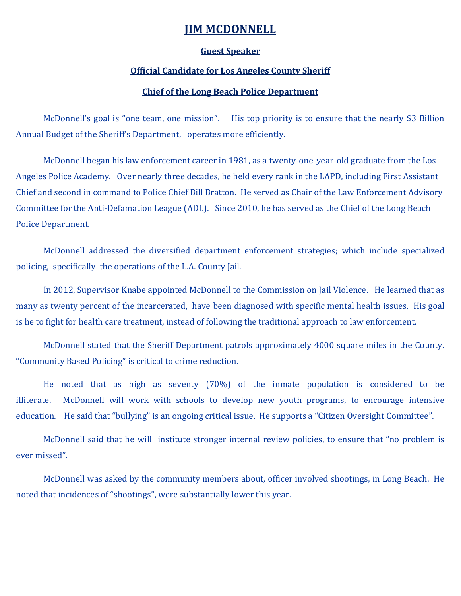### **JIM MCDONNELL**

#### **Guest Speaker**

#### **Official Candidate for Los Angeles County Sheriff**

#### **Chief of the Long Beach Police Department**

McDonnell's goal is "one team, one mission". His top priority is to ensure that the nearly \$3 Billion Annual Budget of the Sheriff's Department, operates more efficiently.

McDonnell began his law enforcement career in 1981, as a twenty-one-year-old graduate from the Los Angeles Police Academy. Over nearly three decades, he held every rank in the LAPD, including First Assistant Chief and second in command to Police Chief Bill Bratton. He served as Chair of the Law Enforcement Advisory Committee for the Anti-Defamation League (ADL). Since 2010, he has served as the Chief of the Long Beach Police Department.

McDonnell addressed the diversified department enforcement strategies; which include specialized policing, specifically the operations of the L.A. County Jail.

In 2012, Supervisor Knabe appointed McDonnell to the Commission on Jail Violence. He learned that as many as twenty percent of the incarcerated, have been diagnosed with specific mental health issues. His goal is he to fight for health care treatment, instead of following the traditional approach to law enforcement.

McDonnell stated that the Sheriff Department patrols approximately 4000 square miles in the County. "Community Based Policing" is critical to crime reduction.

He noted that as high as seventy (70%) of the inmate population is considered to be illiterate. McDonnell will work with schools to develop new youth programs, to encourage intensive education. He said that "bullying" is an ongoing critical issue. He supports a "Citizen Oversight Committee".

McDonnell said that he will institute stronger internal review policies, to ensure that "no problem is ever missed".

McDonnell was asked by the community members about, officer involved shootings, in Long Beach. He noted that incidences of "shootings", were substantially lower this year.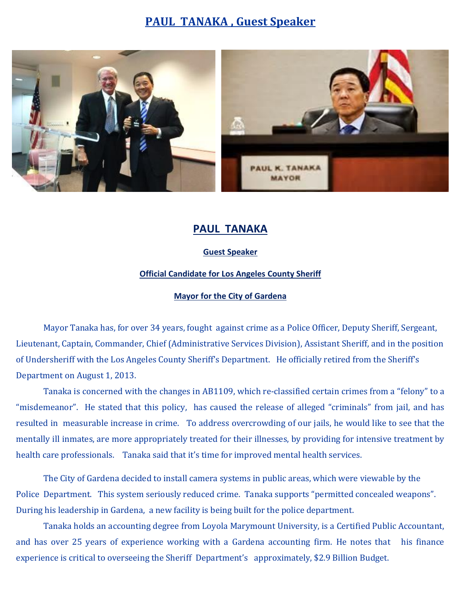# **PAUL TANAKA , Guest Speaker**



## **PAUL TANAKA**

#### **Guest Speaker**

#### **Official Candidate for Los Angeles County Sheriff**

#### **Mayor for the City of Gardena**

Mayor Tanaka has, for over 34 years, fought against crime as a Police Officer, Deputy Sheriff, Sergeant, Lieutenant, Captain, Commander, Chief (Administrative Services Division), Assistant Sheriff, and in the position of Undersheriff with the Los Angeles County Sheriff's Department. He officially retired from the Sheriff's Department on August 1, 2013.

Tanaka is concerned with the changes in AB1109, which re-classified certain crimes from a "felony" to a "misdemeanor". He stated that this policy, has caused the release of alleged "criminals" from jail, and has resulted in measurable increase in crime. To address overcrowding of our jails, he would like to see that the mentally ill inmates, are more appropriately treated for their illnesses, by providing for intensive treatment by health care professionals. Tanaka said that it's time for improved mental health services.

The City of Gardena decided to install camera systems in public areas, which were viewable by the Police Department. This system seriously reduced crime. Tanaka supports "permitted concealed weapons". During his leadership in Gardena, a new facility is being built for the police department.

Tanaka holds an accounting degree from Loyola Marymount University, is a Certified Public Accountant, and has over 25 years of experience working with a Gardena accounting firm. He notes that his finance experience is critical to overseeing the Sheriff Department's approximately, \$2.9 Billion Budget.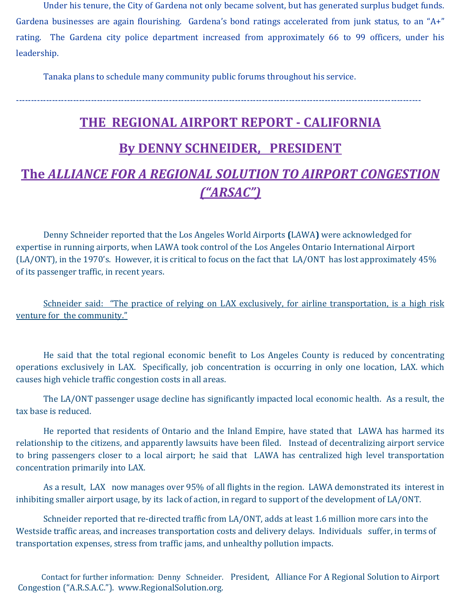Under his tenure, the City of Gardena not only became solvent, but has generated surplus budget funds. Gardena businesses are again flourishing. Gardena's bond ratings accelerated from junk status, to an "A+" rating. The Gardena city police department increased from approximately 66 to 99 officers, under his leadership.

Tanaka plans to schedule many community public forums throughout his service.

# **THE REGIONAL AIRPORT REPORT - CALIFORNIA By DENNY SCHNEIDER, PRESIDENT**

---------------------------------------------------------------------------------------------------------------------------------------

# **The** *ALLIANCE FOR A REGIONAL SOLUTION TO AIRPORT CONGESTION ("ARSAC")*

Denny Schneider reported that the Los Angeles World Airports **(**LAWA**)** were acknowledged for expertise in running airports, when LAWA took control of the Los Angeles Ontario International Airport (LA/ONT), in the 1970's. However, it is critical to focus on the fact that LA/ONT has lost approximately 45% of its passenger traffic, in recent years.

Schneider said: "The practice of relying on LAX exclusively, for airline transportation, is a high risk venture for the community."

He said that the total regional economic benefit to Los Angeles County is reduced by concentrating operations exclusively in LAX. Specifically, job concentration is occurring in only one location, LAX. which causes high vehicle traffic congestion costs in all areas.

The LA/ONT passenger usage decline has significantly impacted local economic health. As a result, the tax base is reduced.

He reported that residents of Ontario and the Inland Empire, have stated that LAWA has harmed its relationship to the citizens, and apparently lawsuits have been filed. Instead of decentralizing airport service to bring passengers closer to a local airport; he said that LAWA has centralized high level transportation concentration primarily into LAX.

As a result, LAX now manages over 95% of all flights in the region. LAWA demonstrated its interest in inhibiting smaller airport usage, by its lack of action, in regard to support of the development of LA/ONT.

Schneider reported that re-directed traffic from LA/ONT, adds at least 1.6 million more cars into the Westside traffic areas, and increases transportation costs and delivery delays. Individuals suffer, in terms of transportation expenses, stress from traffic jams, and unhealthy pollution impacts.

 Contact for further information: Denny Schneider. President, Alliance For A Regional Solution to Airport Congestion ("A.R.S.A.C."). [www.RegionalSolution.org.](http://www.regionalsolution.org/)